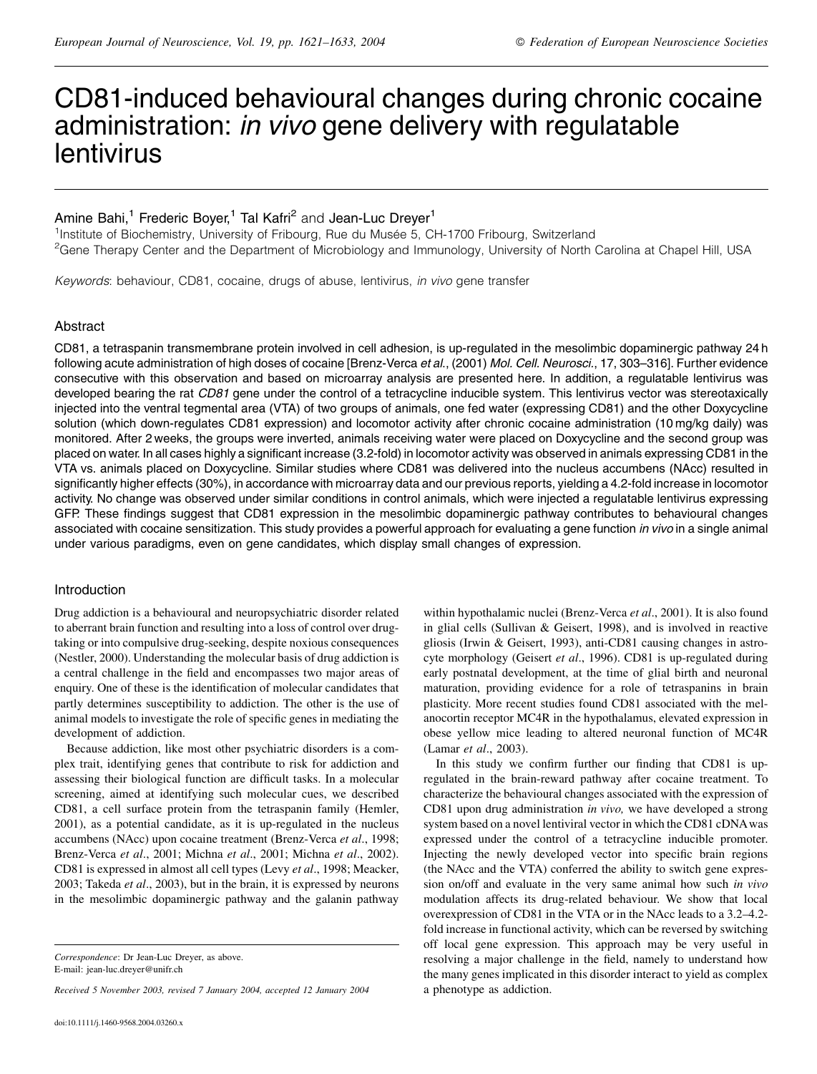# CD81-induced behavioural changes during chronic cocaine administration: in vivo gene delivery with regulatable lentivirus

## Amine Bahi,<sup>1</sup> Frederic Boyer,<sup>1</sup> Tal Kafri<sup>2</sup> and Jean-Luc Dreyer<sup>1</sup>

<sup>1</sup>Institute of Biochemistry, University of Fribourg, Rue du Musée 5, CH-1700 Fribourg, Switzerland <sup>2</sup>Gene Therapy Center and the Department of Microbiology and Immunology, University of North Carolina at Chapel Hill, USA

Keywords: behaviour, CD81, cocaine, drugs of abuse, lentivirus, in vivo gene transfer

#### Abstract

CD81, a tetraspanin transmembrane protein involved in cell adhesion, is up-regulated in the mesolimbic dopaminergic pathway 24 h following acute administration of high doses of cocaine [Brenz-Verca et al., (2001) Mol. Cell. Neurosci., 17, 303-316]. Further evidence consecutive with this observation and based on microarray analysis are presented here. In addition, a regulatable lentivirus was developed bearing the rat CD81 gene under the control of a tetracycline inducible system. This lentivirus vector was stereotaxically injected into the ventral tegmental area (VTA) of two groups of animals, one fed water (expressing CD81) and the other Doxycycline solution (which down-regulates CD81 expression) and locomotor activity after chronic cocaine administration (10 mg/kg daily) was monitored. After 2 weeks, the groups were inverted, animals receiving water were placed on Doxycycline and the second group was placed on water. In all cases highly a significant increase (3.2-fold) in locomotor activity was observed in animals expressing CD81 in the VTA vs. animals placed on Doxycycline. Similar studies where CD81 was delivered into the nucleus accumbens (NAcc) resulted in significantly higher effects (30%), in accordance with microarray data and our previous reports, yielding a 4.2-fold increase in locomotor activity. No change was observed under similar conditions in control animals, which were injected a regulatable lentivirus expressing GFP. These findings suggest that CD81 expression in the mesolimbic dopaminergic pathway contributes to behavioural changes associated with cocaine sensitization. This study provides a powerful approach for evaluating a gene function in vivo in a single animal under various paradigms, even on gene candidates, which display small changes of expression.

### Introduction

Drug addiction is a behavioural and neuropsychiatric disorder related to aberrant brain function and resulting into a loss of control over drugtaking or into compulsive drug-seeking, despite noxious consequences (Nestler, 2000). Understanding the molecular basis of drug addiction is a central challenge in the field and encompasses two major areas of enquiry. One of these is the identification of molecular candidates that partly determines susceptibility to addiction. The other is the use of animal models to investigate the role of specific genes in mediating the development of addiction.

Because addiction, like most other psychiatric disorders is a complex trait, identifying genes that contribute to risk for addiction and assessing their biological function are difficult tasks. In a molecular screening, aimed at identifying such molecular cues, we described CD81, a cell surface protein from the tetraspanin family (Hemler, 2001), as a potential candidate, as it is up-regulated in the nucleus accumbens (NAcc) upon cocaine treatment (Brenz-Verca et al., 1998; Brenz-Verca et al., 2001; Michna et al., 2001; Michna et al., 2002). CD81 is expressed in almost all cell types (Levy et al., 1998; Meacker, 2003: Takeda et al., 2003), but in the brain, it is expressed by neurons in the mesolimbic dopaminergic pathway and the galanin pathway

Received 5 November 2003, revised 7 January 2004, accepted 12 January 2004

within hypothalamic nuclei (Brenz-Verca et al., 2001). It is also found in glial cells (Sullivan & Geisert, 1998), and is involved in reactive gliosis (Irwin & Geisert, 1993), anti-CD81 causing changes in astrocyte morphology (Geisert et al., 1996). CD81 is up-regulated during early postnatal development, at the time of glial birth and neuronal maturation, providing evidence for a role of tetraspanins in brain plasticity. More recent studies found CD81 associated with the melanocortin receptor MC4R in the hypothalamus, elevated expression in obese yellow mice leading to altered neuronal function of MC4R (Lamar et al., 2003).

In this study we confirm further our finding that CD81 is upregulated in the brain-reward pathway after cocaine treatment. To characterize the behavioural changes associated with the expression of CD81 upon drug administration in vivo, we have developed a strong system based on a novel lentiviral vector in which the CD81 cDNA was expressed under the control of a tetracycline inducible promoter. Injecting the newly developed vector into specific brain regions (the NAcc and the VTA) conferred the ability to switch gene expression on/off and evaluate in the very same animal how such in vivo modulation affects its drug-related behaviour. We show that local overexpression of CD81 in the VTA or in the NAcc leads to a 3.2-4.2fold increase in functional activity, which can be reversed by switching off local gene expression. This approach may be very useful in resolving a major challenge in the field, namely to understand how the many genes implicated in this disorder interact to yield as complex a phenotype as addiction.

Correspondence: Dr Jean-Luc Dreyer, as above. E-mail: jean-luc.dreyer@unifr.ch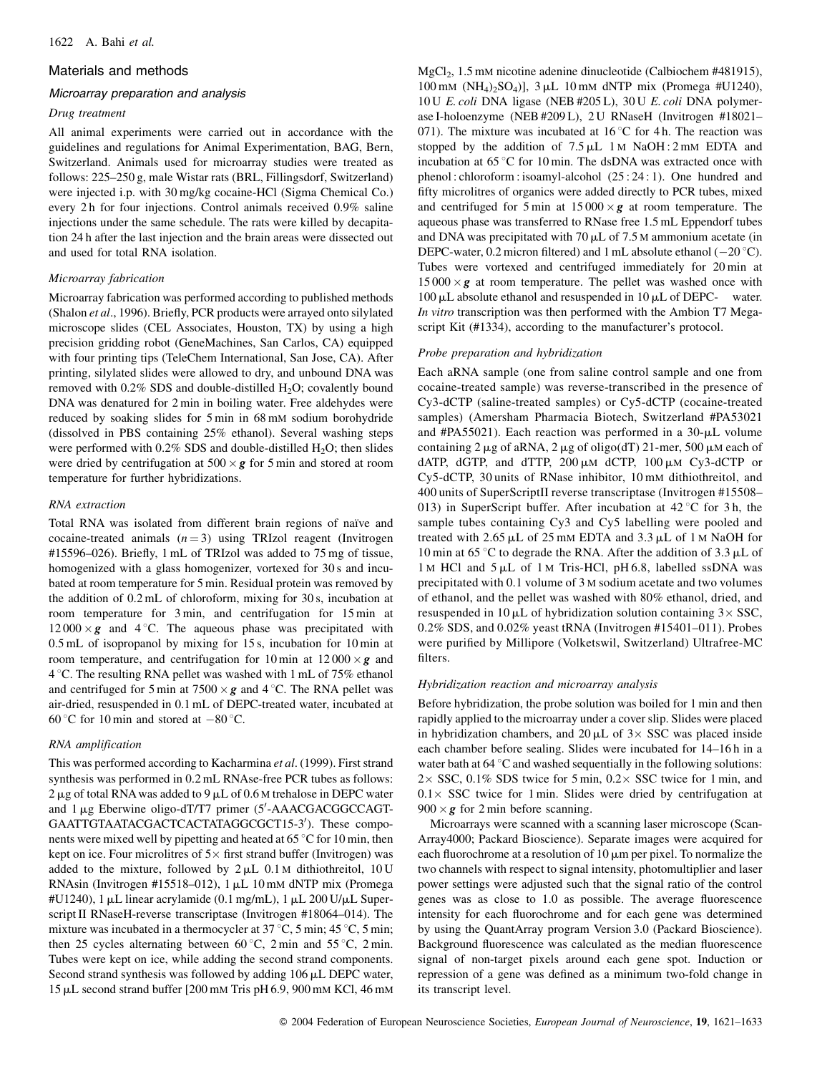#### Materials and methods

#### Microarray preparation and analysis

#### Drug treatment

All animal experiments were carried out in accordance with the guidelines and regulations for Animal Experimentation, BAG, Bern, Switzerland. Animals used for microarray studies were treated as follows: 225-250 g, male Wistar rats (BRL, Fillingsdorf, Switzerland) were injected i.p. with 30 mg/kg cocaine-HCl (Sigma Chemical Co.) every 2h for four injections. Control animals received 0.9% saline injections under the same schedule. The rats were killed by decapitation 24 h after the last injection and the brain areas were dissected out and used for total RNA isolation.

#### Microarray fabrication

Microarray fabrication was performed according to published methods (Shalon et al., 1996). Briefly, PCR products were arrayed onto silylated microscope slides (CEL Associates, Houston, TX) by using a high precision gridding robot (GeneMachines, San Carlos, CA) equipped with four printing tips (TeleChem International, San Jose, CA). After printing, silylated slides were allowed to dry, and unbound DNA was removed with  $0.2\%$  SDS and double-distilled H<sub>2</sub>O; covalently bound DNA was denatured for 2 min in boiling water. Free aldehydes were reduced by soaking slides for 5 min in 68 mM sodium borohydride (dissolved in PBS containing 25% ethanol). Several washing steps were performed with  $0.2\%$  SDS and double-distilled H<sub>2</sub>O; then slides were dried by centrifugation at  $500 \times g$  for 5 min and stored at room temperature for further hybridizations.

#### RNA extraction

Total RNA was isolated from different brain regions of naïve and cocaine-treated animals  $(n=3)$  using TRIzol reagent (Invitrogen #15596-026). Briefly, 1 mL of TRIzol was added to 75 mg of tissue, homogenized with a glass homogenizer, vortexed for 30s and incubated at room temperature for 5 min. Residual protein was removed by the addition of 0.2 mL of chloroform, mixing for 30 s, incubation at room temperature for 3 min, and centrifugation for 15 min at  $12000 \times g$  and 4 °C. The aqueous phase was precipitated with 0.5 mL of isopropanol by mixing for 15 s, incubation for 10 min at room temperature, and centrifugation for 10 min at  $12000 \times g$  and 4 °C. The resulting RNA pellet was washed with 1 mL of 75% ethanol and centrifuged for 5 min at  $7500 \times g$  and 4 °C. The RNA pellet was air-dried, resuspended in 0.1 mL of DEPC-treated water, incubated at 60 °C for 10 min and stored at  $-80$  °C.

### RNA amplification

This was performed according to Kacharmina et al. (1999). First strand synthesis was performed in 0.2 mL RNAse-free PCR tubes as follows:  $2 \mu$ g of total RNA was added to 9  $\mu$ L of 0.6 M trehalose in DEPC water and  $1 \mu$ g Eberwine oligo-dT/T7 primer (5'-AAACGACGGCCAGT-GAATTGTAATACGACTCACTATAGGCGCT15-3'). These components were mixed well by pipetting and heated at 65 °C for 10 min, then kept on ice. Four microlitres of  $5 \times$  first strand buffer (Invitrogen) was added to the mixture, followed by  $2 \mu L$  0.1 M dithiothreitol, 10 U RNAsin (Invitrogen #15518-012), 1 µL 10 mM dNTP mix (Promega #U1240), 1 µL linear acrylamide (0.1 mg/mL), 1 µL 200 U/µL Superscript II RNaseH-reverse transcriptase (Invitrogen #18064-014). The mixture was incubated in a thermocycler at 37 °C, 5 min; 45 °C, 5 min; then 25 cycles alternating between 60 °C, 2 min and 55 °C, 2 min. Tubes were kept on ice, while adding the second strand components. Second strand synthesis was followed by adding 106 µL DEPC water, 15 µL second strand buffer [200 mM Tris pH 6.9, 900 mM KCl, 46 mM

MgCl<sub>2</sub>, 1.5 mM nicotine adenine dinucleotide (Calbiochem #481915), 100 mM (NH<sub>4</sub>)<sub>2</sub>SO<sub>4</sub>)],  $3 \mu L$  10 mM dNTP mix (Promega #U1240), 10 U E. coli DNA ligase (NEB #205 L), 30 U E. coli DNA polymerase I-holoenzyme (NEB #209L), 2U RNaseH (Invitrogen #18021-071). The mixture was incubated at  $16^{\circ}$ C for 4 h. The reaction was stopped by the addition of  $7.5 \mu L$  1 M NaOH: 2 mM EDTA and incubation at  $65^{\circ}$ C for 10 min. The dsDNA was extracted once with phenol: chloroform: isoamyl-alcohol (25:24:1). One hundred and fifty microlitres of organics were added directly to PCR tubes, mixed and centrifuged for 5 min at  $15000 \times g$  at room temperature. The aqueous phase was transferred to RNase free 1.5 mL Eppendorf tubes and DNA was precipitated with 70  $\mu$ L of 7.5 M ammonium acetate (in DEPC-water, 0.2 micron filtered) and 1 mL absolute ethanol ( $-20^{\circ}$ C). Tubes were vortexed and centrifuged immediately for 20 min at  $15000 \times g$  at room temperature. The pellet was washed once with  $100 \mu L$  absolute ethanol and resuspended in  $10 \mu L$  of DEPC- water. In vitro transcription was then performed with the Ambion T7 Megascript Kit (#1334), according to the manufacturer's protocol.

### Probe preparation and hybridization

Each aRNA sample (one from saline control sample and one from cocaine-treated sample) was reverse-transcribed in the presence of Cy3-dCTP (saline-treated samples) or Cy5-dCTP (cocaine-treated samples) (Amersham Pharmacia Biotech, Switzerland #PA53021 and #PA55021). Each reaction was performed in a  $30$ - $\mu$ L volume containing  $2 \mu g$  of aRNA,  $2 \mu g$  of oligo(dT) 21-mer, 500  $\mu$ M each of dATP, dGTP, and dTTP,  $200 \mu M$  dCTP,  $100 \mu M$  Cy3-dCTP or Cy5-dCTP, 30 units of RNase inhibitor, 10 mM dithiothreitol, and 400 units of SuperScriptII reverse transcriptase (Invitrogen #15508– 013) in SuperScript buffer. After incubation at  $42^{\circ}$ C for 3h, the sample tubes containing Cy3 and Cy5 labelling were pooled and treated with 2.65 µL of 25 mM EDTA and 3.3 µL of 1 M NaOH for 10 min at 65 °C to degrade the RNA. After the addition of 3.3  $\mu$ L of 1 M HCl and 5 µL of 1 M Tris-HCl, pH 6.8, labelled ssDNA was precipitated with 0.1 volume of 3 M sodium acetate and two volumes of ethanol, and the pellet was washed with 80% ethanol, dried, and resuspended in 10  $\mu$ L of hybridization solution containing 3 × SSC, 0.2% SDS, and 0.02% yeast tRNA (Invitrogen #15401-011). Probes were purified by Millipore (Volketswil, Switzerland) Ultrafree-MC filters.

### Hybridization reaction and microarray analysis

Before hybridization, the probe solution was boiled for 1 min and then rapidly applied to the microarray under a cover slip. Slides were placed in hybridization chambers, and 20  $\mu$ L of 3× SSC was placed inside each chamber before sealing. Slides were incubated for 14-16h in a water bath at  $64^{\circ}$ C and washed sequentially in the following solutions:  $2 \times$  SSC, 0.1% SDS twice for 5 min, 0.2  $\times$  SSC twice for 1 min, and  $0.1 \times$  SSC twice for 1 min. Slides were dried by centrifugation at  $900 \times g$  for 2 min before scanning.

Microarrays were scanned with a scanning laser microscope (Scan-Array4000; Packard Bioscience). Separate images were acquired for each fluorochrome at a resolution of  $10 \mu m$  per pixel. To normalize the two channels with respect to signal intensity, photomultiplier and laser power settings were adjusted such that the signal ratio of the control genes was as close to 1.0 as possible. The average fluorescence intensity for each fluorochrome and for each gene was determined by using the QuantArray program Version 3.0 (Packard Bioscience). Background fluorescence was calculated as the median fluorescence signal of non-target pixels around each gene spot. Induction or repression of a gene was defined as a minimum two-fold change in its transcript level.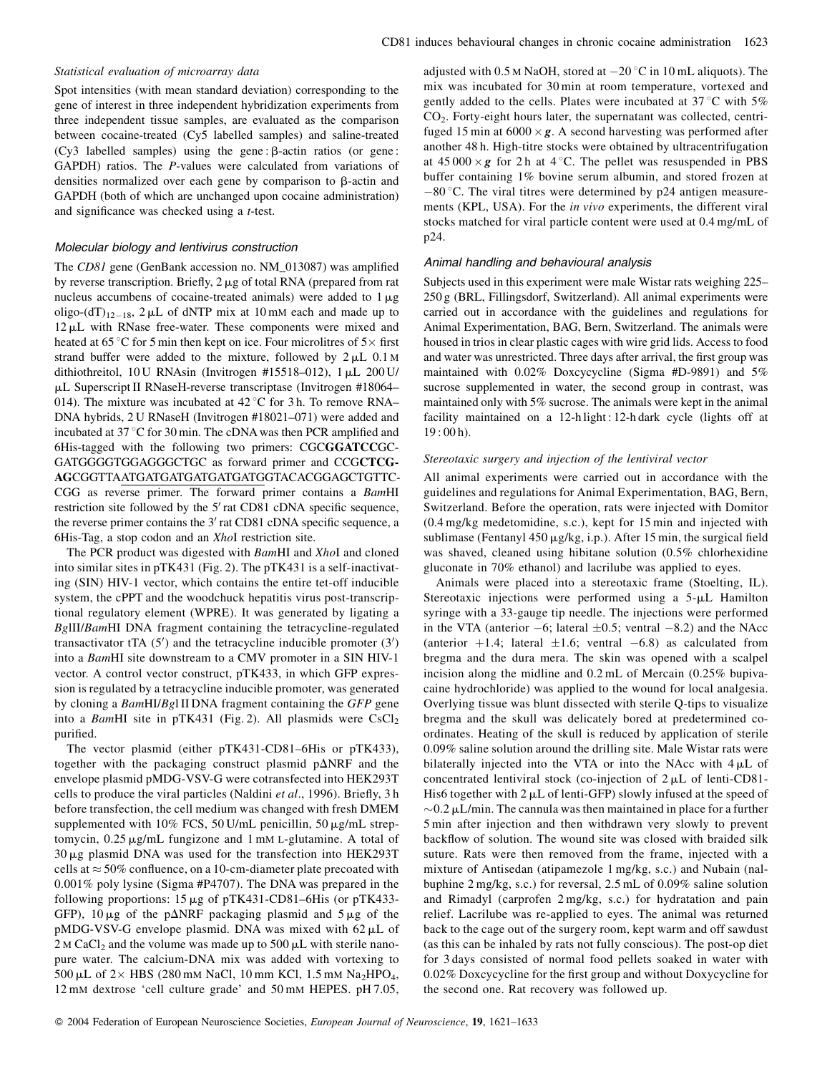#### Statistical evaluation of microarray data

Spot intensities (with mean standard deviation) corresponding to the gene of interest in three independent hybridization experiments from three independent tissue samples, are evaluated as the comparison between cocaine-treated (Cy5 labelled samples) and saline-treated  $(Cy3$  labelled samples) using the gene:  $\beta$ -actin ratios (or gene: GAPDH) ratios. The P-values were calculated from variations of densities normalized over each gene by comparison to  $\beta$ -actin and GAPDH (both of which are unchanged upon cocaine administration) and significance was checked using a *t*-test.

#### Molecular biology and lentivirus construction

The CD81 gene (GenBank accession no. NM\_013087) was amplified by reverse transcription. Briefly,  $2 \mu g$  of total RNA (prepared from rat nucleus accumbens of cocaine-treated animals) were added to 1  $\mu$ g oligo- $dT$ <sub>12-18</sub>, 2 µL of dNTP mix at 10 mM each and made up to  $12 \mu L$  with RNase free-water. These components were mixed and heated at 65 °C for 5 min then kept on ice. Four microlitres of  $5\times$  first strand buffer were added to the mixture, followed by  $2 \mu L$  0.1 M dithiothreitol, 10 U RNAsin (Invitrogen #15518-012), 1 µL 200 U/ µL Superscript II RNaseH-reverse transcriptase (Invitrogen #18064– 014). The mixture was incubated at  $42^{\circ}$ C for 3 h. To remove RNA-DNA hybrids, 2 U RNaseH (Invitrogen #18021-071) were added and incubated at 37 °C for 30 min. The cDNA was then PCR amplified and 6His-tagged with the following two primers: CGCGGATCCGC-GATGGGGTGGAGGGCTGC as forward primer and CCGCTCG-AGCGGTTAATGATGATGATGATGATGGTACACGGAGCTGTTC-CGG as reverse primer. The forward primer contains a BamHI restriction site followed by the 5' rat CD81 cDNA specific sequence, the reverse primer contains the 3' rat CD81 cDNA specific sequence, a 6His-Tag, a stop codon and an XhoI restriction site.

The PCR product was digested with BamHI and XhoI and cloned into similar sites in pTK431 (Fig. 2). The pTK431 is a self-inactivating (SIN) HIV-1 vector, which contains the entire tet-off inducible system, the cPPT and the woodchuck hepatitis virus post-transcriptional regulatory element (WPRE). It was generated by ligating a BgIII/BamHI DNA fragment containing the tetracycline-regulated transactivator tTA  $(5')$  and the tetracycline inducible promoter  $(3')$ into a *Bam*HI site downstream to a CMV promoter in a SIN HIV-1 vector. A control vector construct, pTK433, in which GFP expression is regulated by a tetracycline inducible promoter, was generated by cloning a BamHI/Bgl II DNA fragment containing the GFP gene into a BamHI site in pTK431 (Fig. 2). All plasmids were CsCl<sub>2</sub> purified.

The vector plasmid (either pTK431-CD81-6His or pTK433), together with the packaging construct plasmid  $p\Delta NRF$  and the envelope plasmid pMDG-VSV-G were cotransfected into HEK293T cells to produce the viral particles (Naldini et al., 1996). Briefly, 3 h before transfection, the cell medium was changed with fresh DMEM supplemented with 10% FCS, 50 U/mL penicillin, 50  $\mu$ g/mL streptomycin, 0.25 µg/mL fungizone and 1 mM L-glutamine. A total of  $30 \mu$ g plasmid DNA was used for the transfection into HEK293T cells at  $\approx$  50% confluence, on a 10-cm-diameter plate precoated with  $0.001\%$  poly lysine (Sigma #P4707). The DNA was prepared in the following proportions:  $15 \mu g$  of pTK431-CD81-6His (or pTK433-GFP),  $10 \mu g$  of the p $\Delta$ NRF packaging plasmid and  $5 \mu g$  of the pMDG-VSV-G envelope plasmid. DNA was mixed with 62 µL of  $2 \text{ M } \text{CaCl}_2$  and the volume was made up to 500  $\mu$ L with sterile nanopure water. The calcium-DNA mix was added with vortexing to 500 µL of  $2 \times$  HBS (280 mM NaCl, 10 mm KCl, 1.5 mM Na<sub>2</sub>HPO<sub>4</sub>, 12 mM dextrose 'cell culture grade' and 50 mM HEPES. pH 7.05,

adjusted with 0.5 M NaOH, stored at  $-20$  °C in 10 mL aliquots). The mix was incubated for 30 min at room temperature, vortexed and gently added to the cells. Plates were incubated at 37 °C with 5%  $CO<sub>2</sub>$ . Forty-eight hours later, the supernatant was collected, centrifuged 15 min at  $6000 \times g$ . A second harvesting was performed after another 48 h. High-titre stocks were obtained by ultracentrifugation at  $45000 \times g$  for 2 h at 4 °C. The pellet was resuspended in PBS buffer containing 1% bovine serum albumin, and stored frozen at  $-80$  °C. The viral titres were determined by p24 antigen measurements (KPL, USA). For the *in vivo* experiments, the different viral stocks matched for viral particle content were used at 0.4 mg/mL of p24.

#### Animal handling and behavioural analysis

Subjects used in this experiment were male Wistar rats weighing 225– 250 g (BRL, Fillingsdorf, Switzerland). All animal experiments were carried out in accordance with the guidelines and regulations for Animal Experimentation, BAG, Bern, Switzerland. The animals were housed in trios in clear plastic cages with wire grid lids. Access to food and water was unrestricted. Three days after arrival, the first group was maintained with 0.02% Doxcycycline (Sigma #D-9891) and 5% sucrose supplemented in water, the second group in contrast, was maintained only with 5% sucrose. The animals were kept in the animal facility maintained on a 12-h light: 12-h dark cycle (lights off at  $19:00h$ ).

#### Stereotaxic surgery and injection of the lentiviral vector

All animal experiments were carried out in accordance with the guidelines and regulations for Animal Experimentation, BAG, Bern, Switzerland. Before the operation, rats were injected with Domitor  $(0.4 \text{ mg/kg}$  medetomidine, s.c.), kept for 15 min and injected with sublimase (Fentanyl 450 µg/kg, i.p.). After 15 min, the surgical field was shaved, cleaned using hibitane solution (0.5% chlorhexidine gluconate in 70% ethanol) and lacrilube was applied to eyes.

Animals were placed into a stereotaxic frame (Stoelting, IL). Stereotaxic injections were performed using a 5-µL Hamilton syringe with a 33-gauge tip needle. The injections were performed in the VTA (anterior  $-6$ ; lateral  $\pm 0.5$ ; ventral  $-8.2$ ) and the NAcc (anterior +1.4; lateral  $\pm 1.6$ ; ventral -6.8) as calculated from bregma and the dura mera. The skin was opened with a scalpel incision along the midline and  $0.2$  mL of Mercain  $(0.25\%$  bupivacaine hydrochloride) was applied to the wound for local analgesia. Overlying tissue was blunt dissected with sterile Q-tips to visualize bregma and the skull was delicately bored at predetermined coordinates. Heating of the skull is reduced by application of sterile 0.09% saline solution around the drilling site. Male Wistar rats were bilaterally injected into the VTA or into the NAcc with  $4 \mu L$  of concentrated lentiviral stock (co-injection of  $2 \mu L$  of lenti-CD81-His6 together with  $2 \mu L$  of lenti-GFP) slowly infused at the speed of  $\sim 0.2 \mu L/min$ . The cannula was then maintained in place for a further 5 min after injection and then withdrawn very slowly to prevent backflow of solution. The wound site was closed with braided silk suture. Rats were then removed from the frame, injected with a mixture of Antisedan (atipamezole 1 mg/kg, s.c.) and Nubain (nalbuphine  $2 \text{ mg/kg}$ , s.c.) for reversal,  $2.5 \text{ mL}$  of  $0.09\%$  saline solution and Rimadyl (carprofen 2 mg/kg, s.c.) for hydratation and pain relief. Lacrilube was re-applied to eyes. The animal was returned back to the cage out of the surgery room, kept warm and off sawdust (as this can be inhaled by rats not fully conscious). The post-op diet for 3 days consisted of normal food pellets soaked in water with 0.02% Doxcycycline for the first group and without Doxycycline for the second one. Rat recovery was followed up.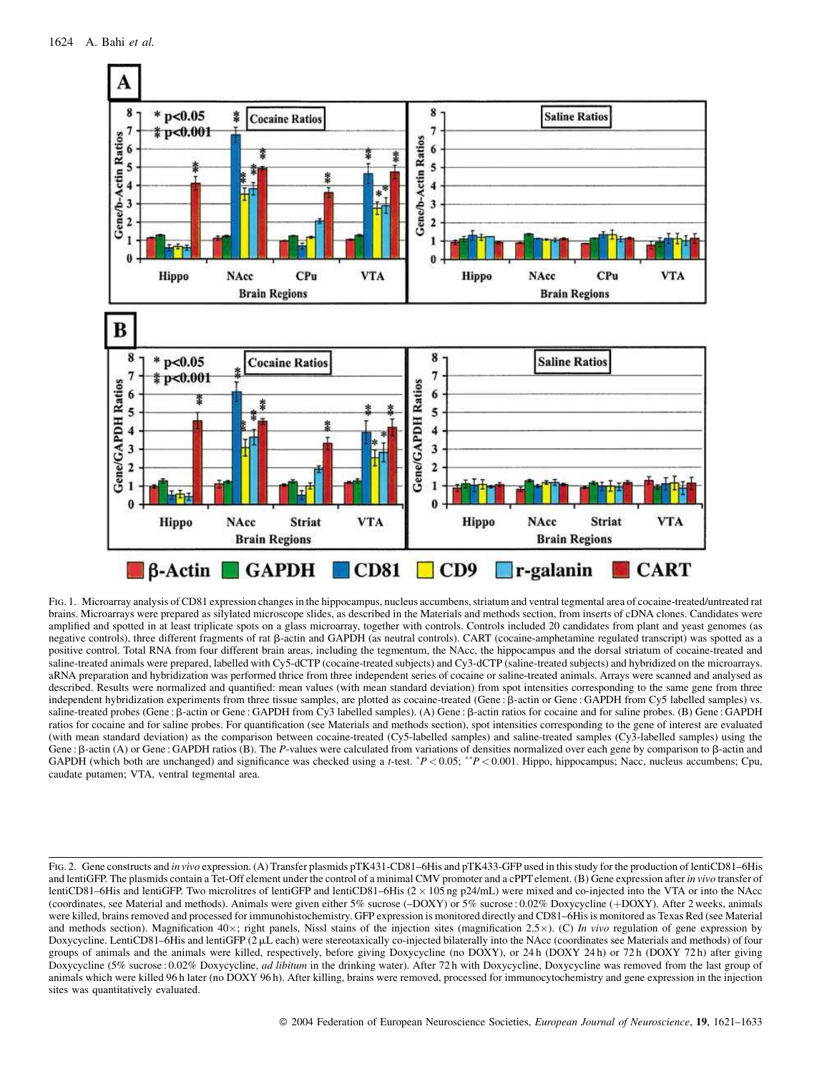

FIG. 1. Microarray analysis of CD81 expression changes in the hippocampus, nucleus accumbens, striatum and ventral tegmental area of cocaine-treated/untreated rat brains. Microarrays were prepared as silylated microscope slides, as described in the Materials and methods section, from inserts of cDNA clones. Candidates were amplified and spotted in at least triplicate spots on a glass microarray, together with controls. Controls included 20 candidates from plant and yeast genomes (as negative controls), three different fragments of rat  $\beta$ -actin and GAPDH (as neutral controls). CART (cocaine-amphetamine regulated transcript) was spotted as a positive control. Total RNA from four different brain areas, including the tegmentum, the NAcc, the hippocampus and the dorsal striatum of cocaine-treated and saline-treated animals were prepared, labelled with Cy5-dCTP (cocaine-treated subjects) and Cy3-dCTP (saline-treated subjects) and hybridized on the microarrays. aRNA preparation and hybridization was performed thrice from three independent series of cocaine or saline-treated animals. Arrays were scanned and analysed as described. Results were normalized and quantified: mean values (with mean standard deviation) from spot intensities corresponding to the same gene from three independent hybridization experiments from three tissue samples, are plotted as cocaine-treated (Gene:  $\beta$ -actin or Gene: GAPDH from Cy5 labelled samples) vs. saline-treated probes (Gene: B-actin or Gene: GAPDH from Cy3 labelled samples). (A) Gene: B-actin ratios for cocaine and for saline probes. (B) Gene: GAPDH ratios for cocaine and for saline probes. For quantification (see Materials and methods section), spot intensities corresponding to the gene of interest are evaluated (with mean standard deviation) as the comparison between cocaine-treated (Cy5-labelled samples) and saline-treated samples (Cy3-labelled samples) using the Gene :  $\beta$ -actin (A) or Gene : GAPDH ratios (B). The P-values were calculated from variations of densities normalized over each gene by comparison to  $\beta$ -actin and GAPDH (which both are unchanged) and significance was checked using a *t*-test.  $P < 0.05$ ;  $P < 0.001$ . Hippo, hippocampus; Nacc, nucleus accumbens; Cpu, caudate putamen; VTA, ventral tegmental area.

FIG. 2. Gene constructs and in vivo expression. (A) Transfer plasmids pTK431-CD81-6His and pTK433-GFP used in this study for the production of lentiCD81-6His and lentiGFP. The plasmids contain a Tet-Off element under the control of a minimal CMV promoter and a cPPT element. (B) Gene expression after in vivo transfer of lentiCD81–6His and lentiGFP. Two microlitres of lentiGFP and lentiCD81–6His  $(2 \times 105 \text{ ng } p24/\text{mL})$  were mixed and co-injected into the VTA or into the NAcc (coordinates, see Material and methods). Animals were given either 5% sucrose (-DOXY) or 5% sucrose: 0.02% Doxycycline (+DOXY). After 2 weeks, animals were killed, brains removed and processed for immunohistochemistry. GFP expression is monitored directly and CD81-6His is monitored as Texas Red (see Material and methods section). Magnification  $40 \times$ ; right panels, Nissl stains of the injection sites (magnification 2.5×). (C) In vivo regulation of gene expression by Doxycycline. LentiCD81-6His and lentiGFP (2 µL each) were stereotaxically co-injected bilaterally into the NAcc (coordinates see Materials and methods) of four groups of animals and the animals were killed, respectively, before giving Doxycycline (no DOXY), or 24h (DOXY 24h) or 72h (DOXY 72h) after giving Doxycycline (5% sucrose: 0.02% Doxycycline, *ad libitum* in the drinking water). After 72h with Doxycycline, Doxycycline was removed from the last group of animals which were killed 96 h later (no DOXY 96 h). After killing, brains were removed, processed for immunocytochemistry and gene expression in the injection sites was quantitatively evaluated.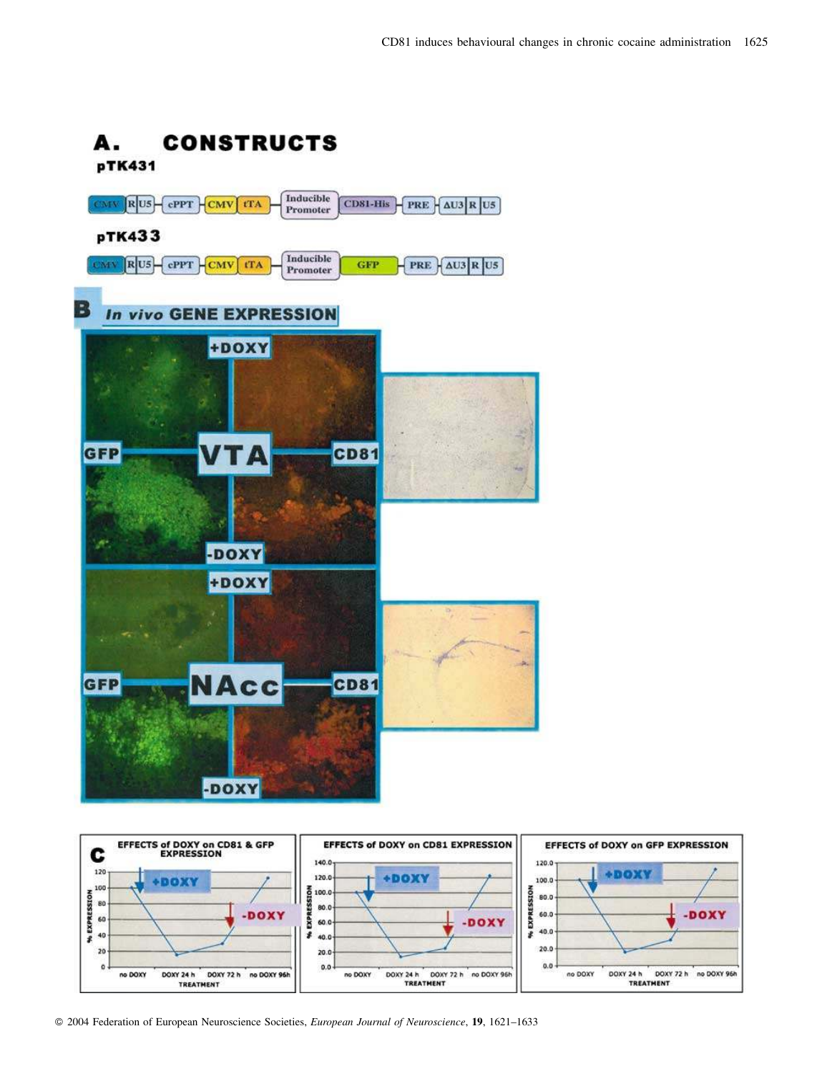



© 2004 Federation of European Neuroscience Societies, European Journal of Neuroscience, 19, 1621-1633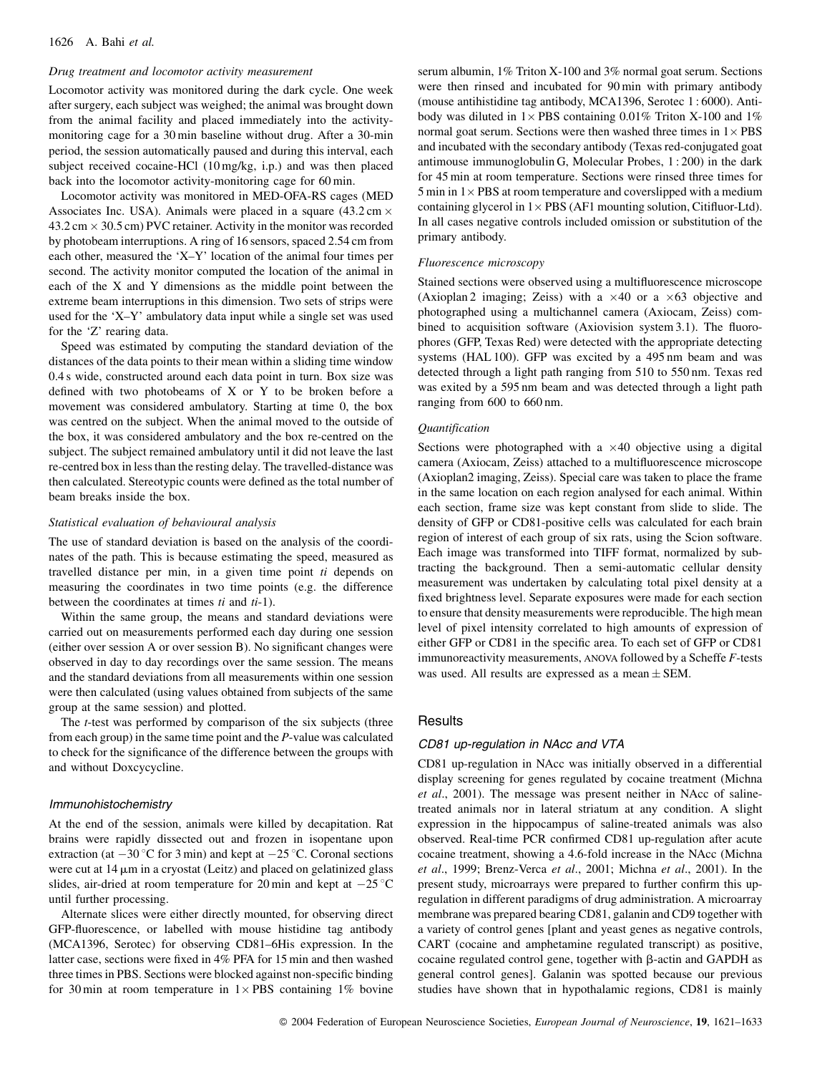#### Drug treatment and locomotor activity measurement

Locomotor activity was monitored during the dark cycle. One week after surgery, each subject was weighed; the animal was brought down from the animal facility and placed immediately into the activitymonitoring cage for a 30 min baseline without drug. After a 30-min period, the session automatically paused and during this interval, each subject received cocaine-HCl (10 mg/kg, i.p.) and was then placed back into the locomotor activity-monitoring cage for 60 min.

Locomotor activity was monitored in MED-OFA-RS cages (MED Associates Inc. USA). Animals were placed in a square  $(43.2 \text{ cm} \times$  $43.2 \text{ cm} \times 30.5 \text{ cm}$ ) PVC retainer. Activity in the monitor was recorded by photobeam interruptions. A ring of 16 sensors, spaced 2.54 cm from each other, measured the 'X–Y' location of the animal four times per second. The activity monitor computed the location of the animal in each of the X and Y dimensions as the middle point between the extreme beam interruptions in this dimension. Two sets of strips were used for the 'X-Y' ambulatory data input while a single set was used for the 'Z' rearing data.

Speed was estimated by computing the standard deviation of the distances of the data points to their mean within a sliding time window 0.4 s wide, constructed around each data point in turn. Box size was defined with two photobeams of X or Y to be broken before a movement was considered ambulatory. Starting at time 0, the box was centred on the subject. When the animal moved to the outside of the box, it was considered ambulatory and the box re-centred on the subject. The subject remained ambulatory until it did not leave the last re-centred box in less than the resting delay. The travelled-distance was then calculated. Stereotypic counts were defined as the total number of beam breaks inside the box.

#### Statistical evaluation of behavioural analysis

The use of standard deviation is based on the analysis of the coordinates of the path. This is because estimating the speed, measured as travelled distance per min, in a given time point ti depends on measuring the coordinates in two time points (e.g. the difference between the coordinates at times  $ti$  and  $ti-1$ ).

Within the same group, the means and standard deviations were carried out on measurements performed each day during one session (either over session A or over session B). No significant changes were observed in day to day recordings over the same session. The means and the standard deviations from all measurements within one session were then calculated (using values obtained from subjects of the same group at the same session) and plotted.

The *t*-test was performed by comparison of the six subjects (three from each group) in the same time point and the  $P$ -value was calculated to check for the significance of the difference between the groups with and without Doxcycycline.

#### Immunohistochemistry

At the end of the session, animals were killed by decapitation. Rat brains were rapidly dissected out and frozen in isopentane upon extraction (at  $-30$  °C for 3 min) and kept at  $-25$  °C. Coronal sections were cut at  $14 \mu m$  in a cryostat (Leitz) and placed on gelatinized glass slides, air-dried at room temperature for 20 min and kept at  $-25^{\circ}$ C until further processing.

Alternate slices were either directly mounted, for observing direct GFP-fluorescence, or labelled with mouse histidine tag antibody (MCA1396, Serotec) for observing CD81-6His expression. In the latter case, sections were fixed in 4% PFA for 15 min and then washed three times in PBS. Sections were blocked against non-specific binding for 30 min at room temperature in  $1 \times PBS$  containing 1% bovine serum albumin, 1% Triton X-100 and 3% normal goat serum. Sections were then rinsed and incubated for 90 min with primary antibody (mouse antihistidine tag antibody, MCA1396, Serotec 1:6000). Antibody was diluted in  $1 \times$  PBS containing 0.01% Triton X-100 and 1% normal goat serum. Sections were then washed three times in  $1 \times PBS$ and incubated with the secondary antibody (Texas red-conjugated goat antimouse immunoglobulin G, Molecular Probes, 1:200) in the dark for 45 min at room temperature. Sections were rinsed three times for 5 min in  $1 \times PBS$  at room temperature and coverslipped with a medium containing glycerol in  $1 \times PBS$  (AF1 mounting solution, Citifluor-Ltd). In all cases negative controls included omission or substitution of the primary antibody.

#### Fluorescence microscopy

Stained sections were observed using a multifluorescence microscope (Axioplan 2 imaging; Zeiss) with a  $\times$  40 or a  $\times$  63 objective and photographed using a multichannel camera (Axiocam, Zeiss) combined to acquisition software (Axiovision system 3.1). The fluorophores (GFP, Texas Red) were detected with the appropriate detecting systems (HAL 100). GFP was excited by a 495 nm beam and was detected through a light path ranging from 510 to 550 nm. Texas red was exited by a 595 nm beam and was detected through a light path ranging from 600 to 660 nm.

#### Quantification

Sections were photographed with a  $\times$ 40 objective using a digital camera (Axiocam, Zeiss) attached to a multifluorescence microscope (Axioplan2 imaging, Zeiss). Special care was taken to place the frame in the same location on each region analysed for each animal. Within each section, frame size was kept constant from slide to slide. The density of GFP or CD81-positive cells was calculated for each brain region of interest of each group of six rats, using the Scion software. Each image was transformed into TIFF format, normalized by subtracting the background. Then a semi-automatic cellular density measurement was undertaken by calculating total pixel density at a fixed brightness level. Separate exposures were made for each section to ensure that density measurements were reproducible. The high mean level of pixel intensity correlated to high amounts of expression of either GFP or CD81 in the specific area. To each set of GFP or CD81 immunoreactivity measurements, ANOVA followed by a Scheffe F-tests was used. All results are expressed as a mean  $\pm$  SEM.

#### Results

#### CD81 up-regulation in NAcc and VTA

CD81 up-regulation in NAcc was initially observed in a differential display screening for genes regulated by cocaine treatment (Michna et al., 2001). The message was present neither in NAcc of salinetreated animals nor in lateral striatum at any condition. A slight expression in the hippocampus of saline-treated animals was also observed. Real-time PCR confirmed CD81 up-regulation after acute cocaine treatment, showing a 4.6-fold increase in the NAcc (Michna et al., 1999; Brenz-Verca et al., 2001; Michna et al., 2001). In the present study, microarrays were prepared to further confirm this upregulation in different paradigms of drug administration. A microarray membrane was prepared bearing CD81, galanin and CD9 together with a variety of control genes [plant and yeast genes as negative controls, CART (cocaine and amphetamine regulated transcript) as positive, cocaine regulated control gene, together with  $\beta$ -actin and GAPDH as general control genes]. Galanin was spotted because our previous studies have shown that in hypothalamic regions, CD81 is mainly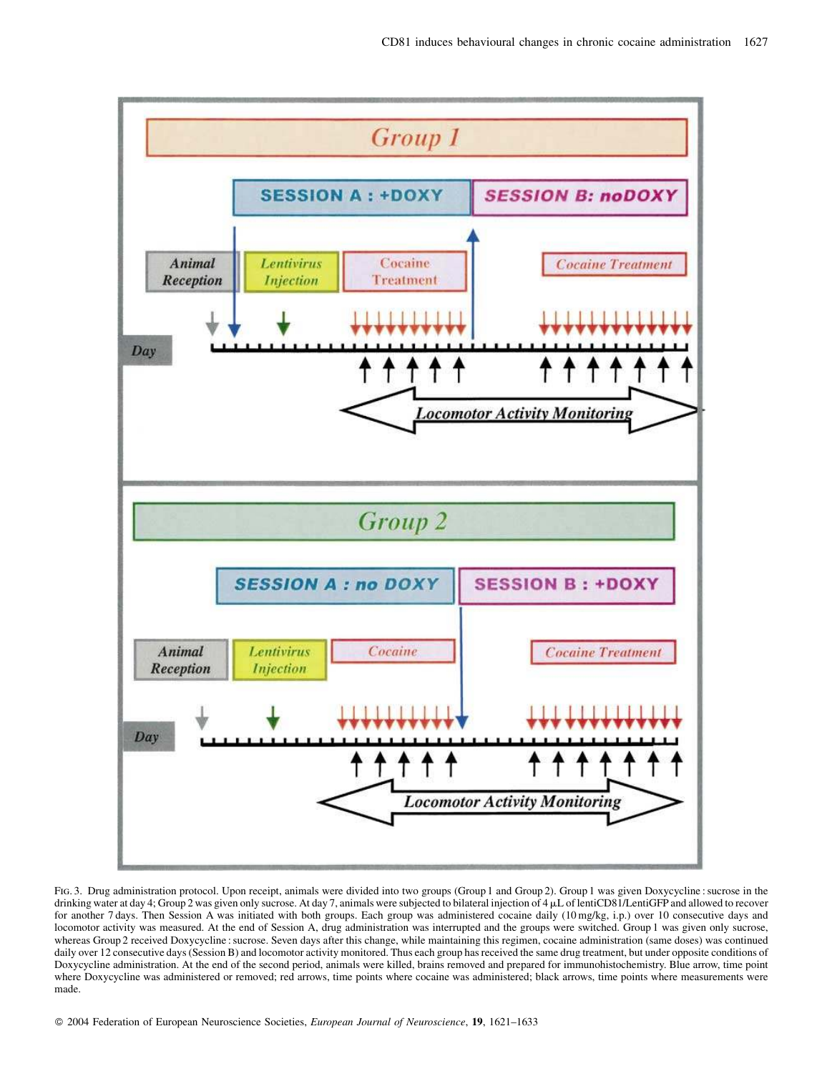

FIG. 3. Drug administration protocol. Upon receipt, animals were divided into two groups (Group 1 and Group 2). Group 1 was given Doxycycline : sucrose in the drinking water at day 4; Group 2 was given only sucrose. At day 7, animals were subjected to bilateral injection of 4 µL of lentiCD81/LentiGFP and allowed to recover for another 7 days. Then Session A was initiated with both groups. Each group was administered cocaine daily (10 mg/kg, i.p.) over 10 consecutive days and locomotor activity was measured. At the end of Session A, drug administration was interrupted and the groups were switched. Group 1 was given only sucrose, whereas Group 2 received Doxycycline : sucrose. Seven days after this change, while maintaining this regimen, cocaine administration (same doses) was continued daily over 12 consecutive days (Session B) and locomotor activity monitored. Thus each group has received the same drug treatment, but under opposite conditions of Doxycycline administration. At the end of the second period, animals were killed, brains removed and prepared for immunohistochemistry. Blue arrow, time point where Doxycycline was administered or removed; red arrows, time points where cocaine was administered; black arrows, time points where measurements were made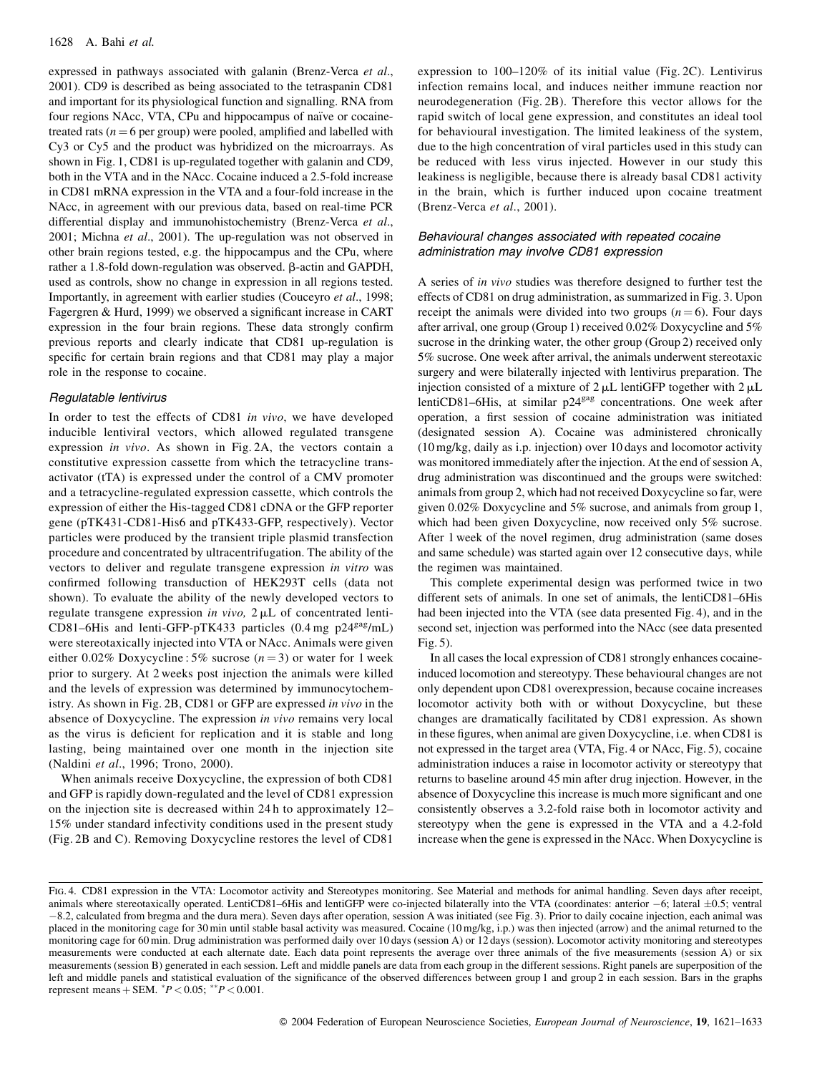expressed in pathways associated with galanin (Brenz-Verca et al., 2001). CD9 is described as being associated to the tetraspanin CD81 and important for its physiological function and signalling. RNA from four regions NAcc, VTA, CPu and hippocampus of naïve or cocainetreated rats ( $n = 6$  per group) were pooled, amplified and labelled with Cy3 or Cy5 and the product was hybridized on the microarrays. As shown in Fig. 1, CD81 is up-regulated together with galanin and CD9, both in the VTA and in the NAcc. Cocaine induced a 2.5-fold increase in CD81 mRNA expression in the VTA and a four-fold increase in the NAcc, in agreement with our previous data, based on real-time PCR differential display and immunohistochemistry (Brenz-Verca et al., 2001; Michna et al., 2001). The up-regulation was not observed in other brain regions tested, e.g. the hippocampus and the CPu, where rather a 1.8-fold down-regulation was observed. β-actin and GAPDH, used as controls, show no change in expression in all regions tested. Importantly, in agreement with earlier studies (Coucevro et al., 1998; Fagergren & Hurd, 1999) we observed a significant increase in CART expression in the four brain regions. These data strongly confirm previous reports and clearly indicate that CD81 up-regulation is specific for certain brain regions and that CD81 may play a major role in the response to cocaine.

#### Regulatable lentivirus

In order to test the effects of CD81 in vivo, we have developed inducible lentiviral vectors, which allowed regulated transgene expression in vivo. As shown in Fig. 2A, the vectors contain a constitutive expression cassette from which the tetracycline transactivator (tTA) is expressed under the control of a CMV promoter and a tetracycline-regulated expression cassette, which controls the expression of either the His-tagged CD81 cDNA or the GFP reporter gene (pTK431-CD81-His6 and pTK433-GFP, respectively). Vector particles were produced by the transient triple plasmid transfection procedure and concentrated by ultracentrifugation. The ability of the vectors to deliver and regulate transgene expression in vitro was confirmed following transduction of HEK293T cells (data not shown). To evaluate the ability of the newly developed vectors to regulate transgene expression in vivo,  $2 \mu L$  of concentrated lenti-CD81-6His and lenti-GFP-pTK433 particles  $(0.4 \text{ mg } p24^{\text{gag}}/mL)$ were stereotaxically injected into VTA or NAcc. Animals were given either 0.02% Doxycycline: 5% sucrose  $(n=3)$  or water for 1 week prior to surgery. At 2 weeks post injection the animals were killed and the levels of expression was determined by immunocytochemistry. As shown in Fig. 2B, CD81 or GFP are expressed in vivo in the absence of Doxycycline. The expression in vivo remains very local as the virus is deficient for replication and it is stable and long lasting, being maintained over one month in the injection site (Naldini et al., 1996; Trono, 2000).

When animals receive Doxycycline, the expression of both CD81 and GFP is rapidly down-regulated and the level of CD81 expression on the injection site is decreased within 24h to approximately 12– 15% under standard infectivity conditions used in the present study (Fig. 2B and C). Removing Doxycycline restores the level of CD81

expression to  $100-120\%$  of its initial value (Fig. 2C). Lentivirus infection remains local, and induces neither immune reaction nor neurodegeneration (Fig. 2B). Therefore this vector allows for the rapid switch of local gene expression, and constitutes an ideal tool for behavioural investigation. The limited leakiness of the system, due to the high concentration of viral particles used in this study can be reduced with less virus injected. However in our study this leakiness is negligible, because there is already basal CD81 activity in the brain, which is further induced upon cocaine treatment (Brenz-Verca et al., 2001).

#### Behavioural changes associated with repeated cocaine administration may involve CD81 expression

A series of in vivo studies was therefore designed to further test the effects of CD81 on drug administration, as summarized in Fig. 3. Upon receipt the animals were divided into two groups  $(n=6)$ . Four days after arrival, one group (Group 1) received 0.02% Doxycycline and 5% sucrose in the drinking water, the other group (Group 2) received only 5% sucrose. One week after arrival, the animals underwent stereotaxic surgery and were bilaterally injected with lentivirus preparation. The injection consisted of a mixture of  $2 \mu L$  lentiGFP together with  $2 \mu L$ lentiCD81-6His, at similar p24<sup>gag</sup> concentrations. One week after operation, a first session of cocaine administration was initiated (designated session A). Cocaine was administered chronically  $(10 \text{ mg/kg}, \text{daily as i.p. injection})$  over 10 days and locomotor activity was monitored immediately after the injection. At the end of session A, drug administration was discontinued and the groups were switched: animals from group 2, which had not received Doxycycline so far, were given  $0.02\%$  Doxycycline and 5% sucrose, and animals from group 1, which had been given Doxycycline, now received only 5% sucrose. After 1 week of the novel regimen, drug administration (same doses and same schedule) was started again over 12 consecutive days, while the regimen was maintained.

This complete experimental design was performed twice in two different sets of animals. In one set of animals, the lentiCD81-6His had been injected into the VTA (see data presented Fig. 4), and in the second set, injection was performed into the NAcc (see data presented  $Fig. 5$ ).

In all cases the local expression of CD81 strongly enhances cocaineinduced locomotion and stereotypy. These behavioural changes are not only dependent upon CD81 overexpression, because cocaine increases locomotor activity both with or without Doxycycline, but these changes are dramatically facilitated by CD81 expression. As shown in these figures, when animal are given Doxycvcline, *i.e.* when CD81 is not expressed in the target area (VTA, Fig. 4 or NAcc, Fig. 5), cocaine administration induces a raise in locomotor activity or stereotypy that returns to baseline around 45 min after drug injection. However, in the absence of Doxycycline this increase is much more significant and one consistently observes a 3.2-fold raise both in locomotor activity and stereotypy when the gene is expressed in the VTA and a 4.2-fold increase when the gene is expressed in the NAcc. When Doxycycline is

FIG. 4. CD81 expression in the VTA: Locomotor activity and Stereotypes monitoring. See Material and methods for animal handling. Seven days after receipt, animals where stereotaxically operated. LentiCD81-6His and lentiGFP were co-injected bilaterally into the VTA (coordinates: anterior  $-6$ ; lateral  $\pm 0.5$ ; ventral -8.2, calculated from bregma and the dura mera). Seven days after operation, session A was initiated (see Fig. 3). Prior to daily cocaine injection, each animal was placed in the monitoring cage for 30 min until stable basal activity was measured. Cocaine (10 mg/kg, i.p.) was then injected (arrow) and the animal returned to the monitoring cage for 60 min. Drug administration was performed daily over 10 days (session A) or 12 days (session). Locomotor activity monitoring and stereotypes measurements were conducted at each alternate date. Each data point represents the average over three animals of the five measurements (session A) or six measurements (session B) generated in each session. Left and middle panels are data from each group in the different sessions. Right panels are superposition of the left and middle panels and statistical evaluation of the significance of the observed differences between group 1 and group 2 in each session. Bars in the graphs represent means + SEM.  $^{*}P$  < 0.05;  $^{**}P$  < 0.001.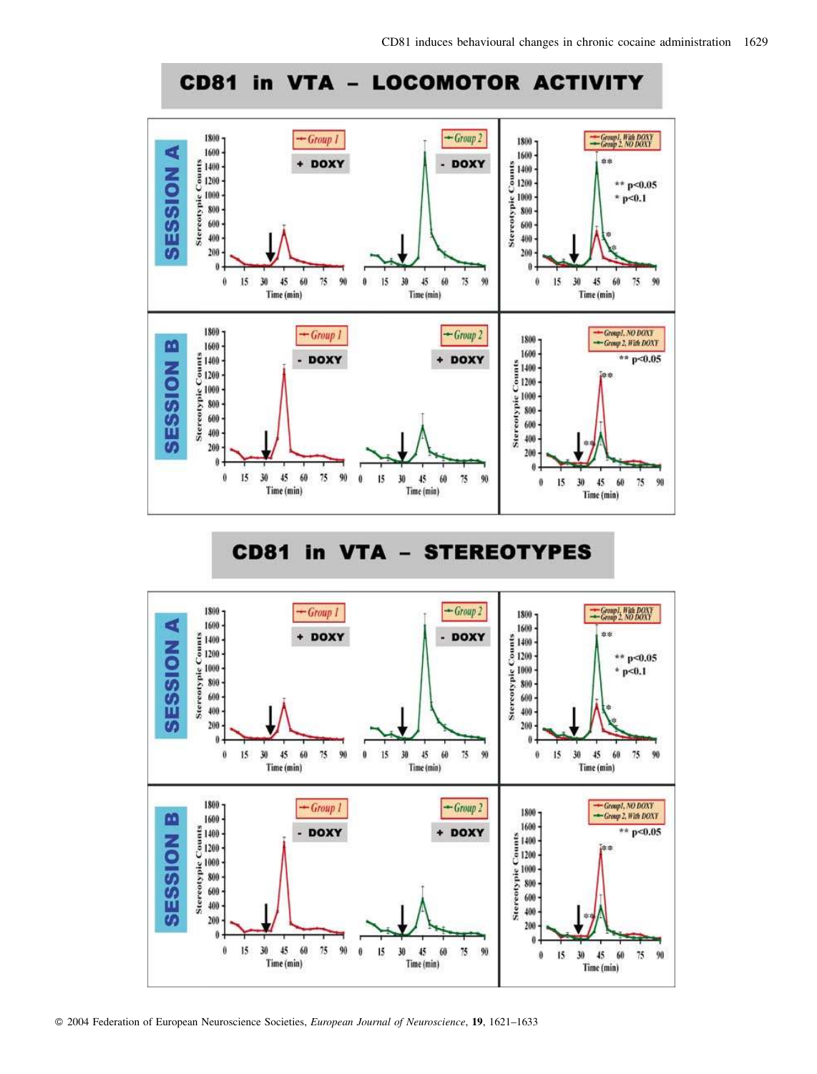

#### **CD81** in  $VTA -$ **STEREOTYPES**



© 2004 Federation of European Neuroscience Societies, European Journal of Neuroscience, 19, 1621-1633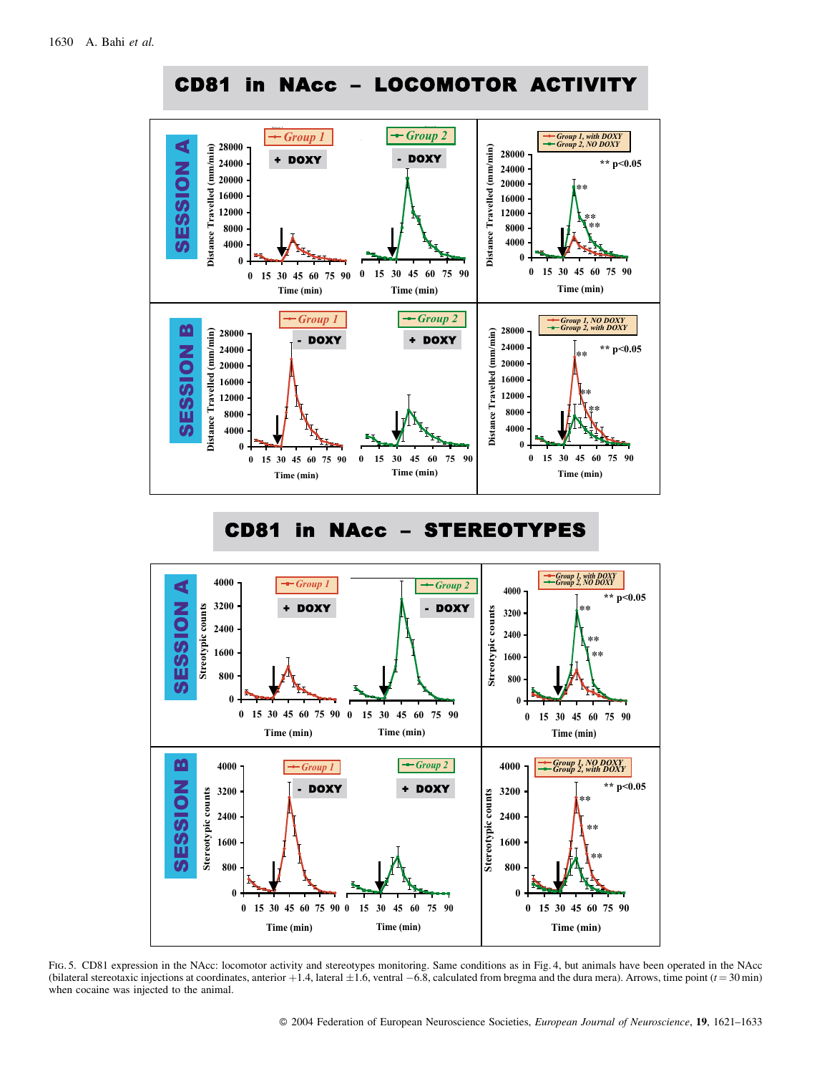

# CD81 in NAcc – STEREOTYPES



FIG. 5. CD81 expression in the NAcc: locomotor activity and stereotypes monitoring. Same conditions as in Fig. 4, but animals have been operated in the NAcc (bilateral stereotaxic injections at coordinates, anterior +1.4, lateral  $\pm 1.6$ , ventral  $-6.8$ , calculated from bregma and the dura mera). Arrows, time point  $(t = 30 \text{ min})$ when cocaine was injected to the animal.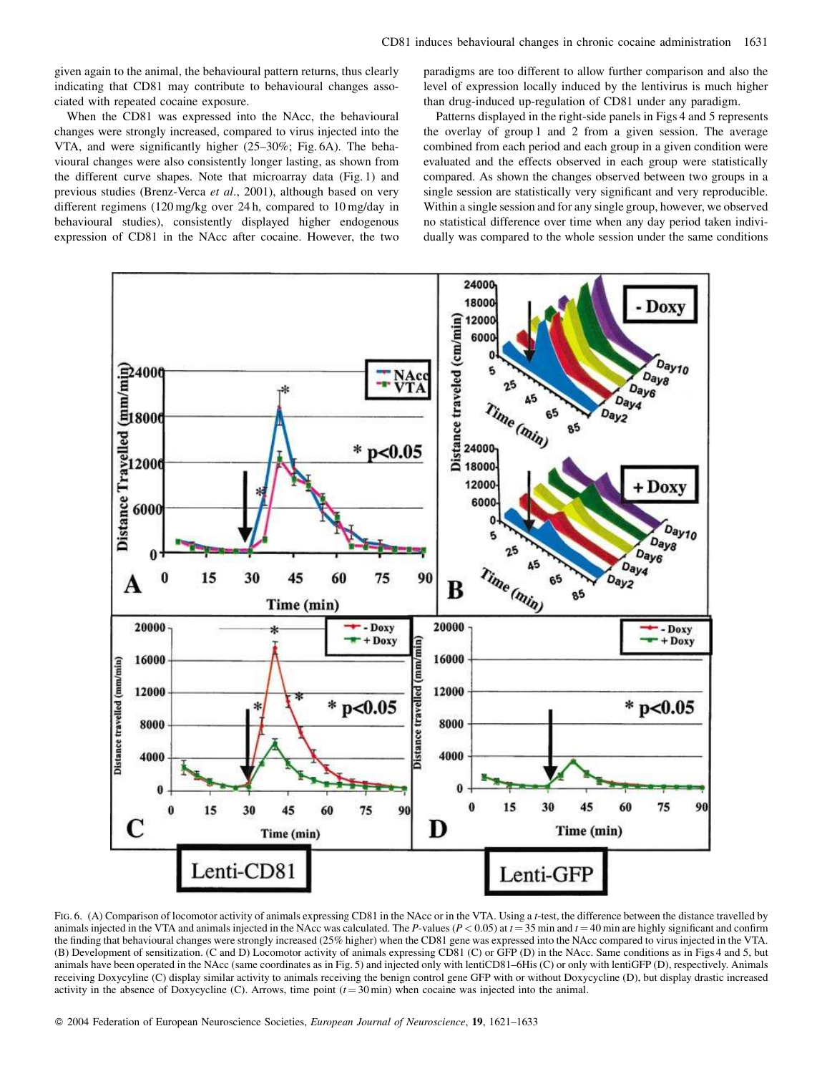given again to the animal, the behavioural pattern returns, thus clearly indicating that CD81 may contribute to behavioural changes associated with repeated cocaine exposure.

When the CD81 was expressed into the NAcc, the behavioural changes were strongly increased, compared to virus injected into the VTA, and were significantly higher (25–30%; Fig. 6A). The behavioural changes were also consistently longer lasting, as shown from the different curve shapes. Note that microarray data (Fig. 1) and previous studies (Brenz-Verca et al., 2001), although based on very different regimens  $(120 \text{ mg/kg}$  over 24h, compared to  $10 \text{ mg/day}$  in behavioural studies), consistently displayed higher endogenous expression of CD81 in the NAcc after cocaine. However, the two paradigms are too different to allow further comparison and also the level of expression locally induced by the lentivirus is much higher than drug-induced up-regulation of CD81 under any paradigm.

Patterns displayed in the right-side panels in Figs 4 and 5 represents the overlay of group 1 and 2 from a given session. The average combined from each period and each group in a given condition were evaluated and the effects observed in each group were statistically compared. As shown the changes observed between two groups in a single session are statistically very significant and very reproducible. Within a single session and for any single group, however, we observed no statistical difference over time when any day period taken individually was compared to the whole session under the same conditions



FIG. 6. (A) Comparison of locomotor activity of animals expressing CD81 in the NAcc or in the VTA. Using a t-test, the difference between the distance travelled by animals injected in the VTA and animals injected in the NAcc was calculated. The P-values ( $P < 0.05$ ) at  $t = 35$  min and  $t = 40$  min are highly significant and confirm the finding that behavioural changes were strongly increased (25% higher) when the CD81 gene was expressed into the NAcc compared to virus injected in the VTA. (B) Development of sensitization. (C and D) Locomotor activity of animals expressing CD81 (C) or GFP (D) in the NAcc. Same conditions as in Figs 4 and 5, but animals have been operated in the NAcc (same coordinates as in Fig. 5) and injected only with lentiCD81-6His (C) or only with lentiGFP (D), respectively. Animals receiving Doxycyline (C) display similar activity to animals receiving the benign control gene GFP with or without Doxycycline (D), but display drastic increased activity in the absence of Doxycycline (C). Arrows, time point  $(t = 30 \text{ min})$  when cocaine was injected into the animal.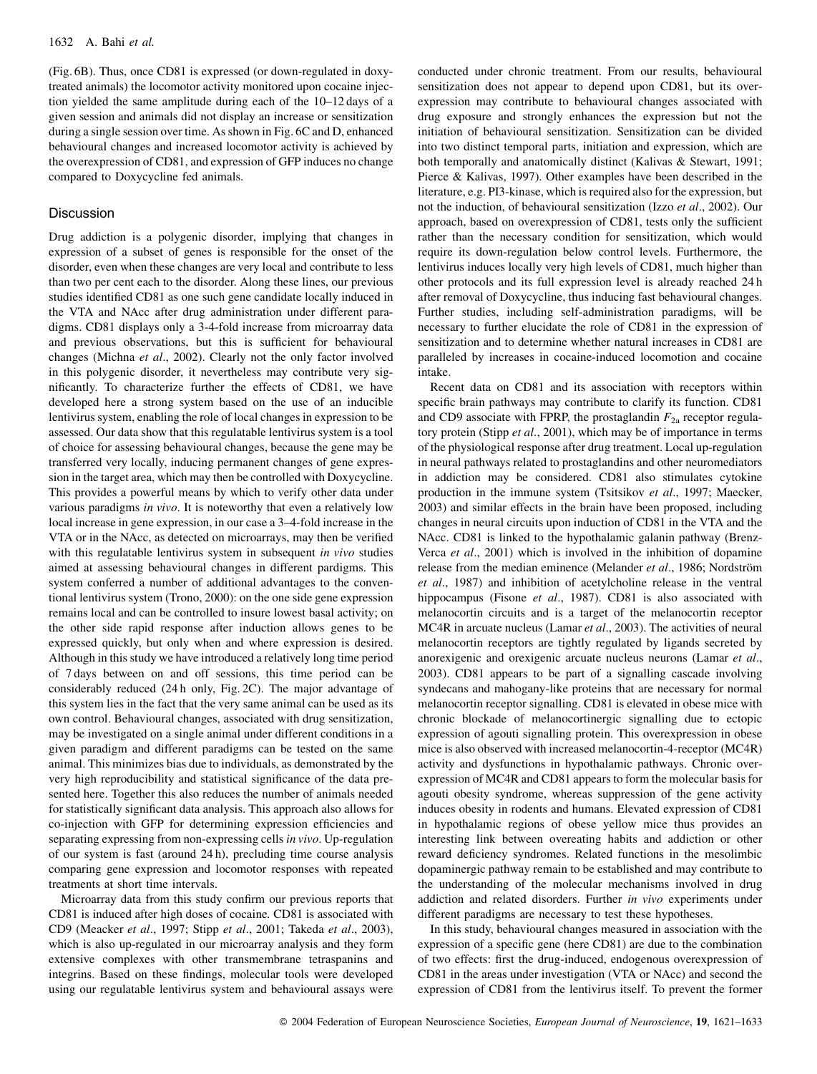(Fig. 6B). Thus, once CD81 is expressed (or down-regulated in doxytreated animals) the locomotor activity monitored upon cocaine injection yielded the same amplitude during each of the 10-12 days of a given session and animals did not display an increase or sensitization during a single session over time. As shown in Fig. 6C and D, enhanced behavioural changes and increased locomotor activity is achieved by the overexpression of CD81, and expression of GFP induces no change compared to Doxycycline fed animals.

#### **Discussion**

Drug addiction is a polygenic disorder, implying that changes in expression of a subset of genes is responsible for the onset of the disorder, even when these changes are very local and contribute to less than two per cent each to the disorder. Along these lines, our previous studies identified CD81 as one such gene candidate locally induced in the VTA and NAcc after drug administration under different paradigms. CD81 displays only a 3-4-fold increase from microarray data and previous observations, but this is sufficient for behavioural changes (Michna et al., 2002). Clearly not the only factor involved in this polygenic disorder, it nevertheless may contribute very significantly. To characterize further the effects of CD81, we have developed here a strong system based on the use of an inducible lentivirus system, enabling the role of local changes in expression to be assessed. Our data show that this regulatable lentivirus system is a tool of choice for assessing behavioural changes, because the gene may be transferred very locally, inducing permanent changes of gene expression in the target area, which may then be controlled with Doxycycline. This provides a powerful means by which to verify other data under various paradigms in vivo. It is noteworthy that even a relatively low local increase in gene expression, in our case a 3-4-fold increase in the VTA or in the NAcc, as detected on microarrays, may then be verified with this regulatable lentivirus system in subsequent in vivo studies aimed at assessing behavioural changes in different pardigms. This system conferred a number of additional advantages to the conventional lentivirus system (Trono, 2000): on the one side gene expression remains local and can be controlled to insure lowest basal activity; on the other side rapid response after induction allows genes to be expressed quickly, but only when and where expression is desired. Although in this study we have introduced a relatively long time period of 7 days between on and off sessions, this time period can be considerably reduced (24h only, Fig. 2C). The major advantage of this system lies in the fact that the very same animal can be used as its own control. Behavioural changes, associated with drug sensitization, may be investigated on a single animal under different conditions in a given paradigm and different paradigms can be tested on the same animal. This minimizes bias due to individuals, as demonstrated by the very high reproducibility and statistical significance of the data presented here. Together this also reduces the number of animals needed for statistically significant data analysis. This approach also allows for co-injection with GFP for determining expression efficiencies and separating expressing from non-expressing cells in vivo. Up-regulation of our system is fast (around 24 h), precluding time course analysis comparing gene expression and locomotor responses with repeated treatments at short time intervals.

Microarray data from this study confirm our previous reports that CD81 is induced after high doses of cocaine. CD81 is associated with CD9 (Meacker et al., 1997; Stipp et al., 2001; Takeda et al., 2003), which is also up-regulated in our microarray analysis and they form extensive complexes with other transmembrane tetraspanins and integrins. Based on these findings, molecular tools were developed using our regulatable lentivirus system and behavioural assays were conducted under chronic treatment. From our results, behavioural sensitization does not appear to depend upon CD81, but its overexpression may contribute to behavioural changes associated with drug exposure and strongly enhances the expression but not the initiation of behavioural sensitization. Sensitization can be divided into two distinct temporal parts, initiation and expression, which are both temporally and anatomically distinct (Kalivas & Stewart, 1991; Pierce & Kalivas, 1997). Other examples have been described in the literature, e.g. PI3-kinase, which is required also for the expression, but not the induction, of behavioural sensitization (Izzo et al., 2002). Our approach, based on overexpression of CD81, tests only the sufficient rather than the necessary condition for sensitization, which would require its down-regulation below control levels. Furthermore, the lentivirus induces locally very high levels of CD81, much higher than other protocols and its full expression level is already reached 24h after removal of Doxycycline, thus inducing fast behavioural changes. Further studies, including self-administration paradigms, will be necessary to further elucidate the role of CD81 in the expression of sensitization and to determine whether natural increases in CD81 are paralleled by increases in cocaine-induced locomotion and cocaine intake.

Recent data on CD81 and its association with receptors within specific brain pathways may contribute to clarify its function. CD81 and CD9 associate with FPRP, the prostaglandin  $F_{2a}$  receptor regulatory protein (Stipp et al., 2001), which may be of importance in terms of the physiological response after drug treatment. Local up-regulation in neural pathways related to prostaglandins and other neuromediators in addiction may be considered. CD81 also stimulates cytokine production in the immune system (Tsitsikov et al., 1997; Maecker, 2003) and similar effects in the brain have been proposed, including changes in neural circuits upon induction of CD81 in the VTA and the NAcc. CD81 is linked to the hypothalamic galanin pathway (Brenz-Verca et al., 2001) which is involved in the inhibition of dopamine release from the median eminence (Melander et al., 1986; Nordström et al., 1987) and inhibition of acetylcholine release in the ventral hippocampus (Fisone et al., 1987). CD81 is also associated with melanocortin circuits and is a target of the melanocortin receptor MC4R in arcuate nucleus (Lamar et al., 2003). The activities of neural melanocortin receptors are tightly regulated by ligands secreted by anorexigenic and orgxigenic arcuate nucleus neurons (Lamar et al., 2003). CD81 appears to be part of a signalling cascade involving syndecans and mahogany-like proteins that are necessary for normal melanocortin receptor signalling. CD81 is elevated in obese mice with chronic blockade of melanocortinergic signalling due to ectopic expression of agouti signalling protein. This overexpression in obese mice is also observed with increased melanocortin-4-receptor (MC4R) activity and dysfunctions in hypothalamic pathways. Chronic overexpression of MC4R and CD81 appears to form the molecular basis for agouti obesity syndrome, whereas suppression of the gene activity induces obesity in rodents and humans. Elevated expression of CD81 in hypothalamic regions of obese yellow mice thus provides an interesting link between overeating habits and addiction or other reward deficiency syndromes. Related functions in the mesolimbic dopaminergic pathway remain to be established and may contribute to the understanding of the molecular mechanisms involved in drug addiction and related disorders. Further in vivo experiments under different paradigms are necessary to test these hypotheses.

In this study, behavioural changes measured in association with the expression of a specific gene (here CD81) are due to the combination of two effects: first the drug-induced, endogenous overexpression of CD81 in the areas under investigation (VTA or NAcc) and second the expression of CD81 from the lentivirus itself. To prevent the former